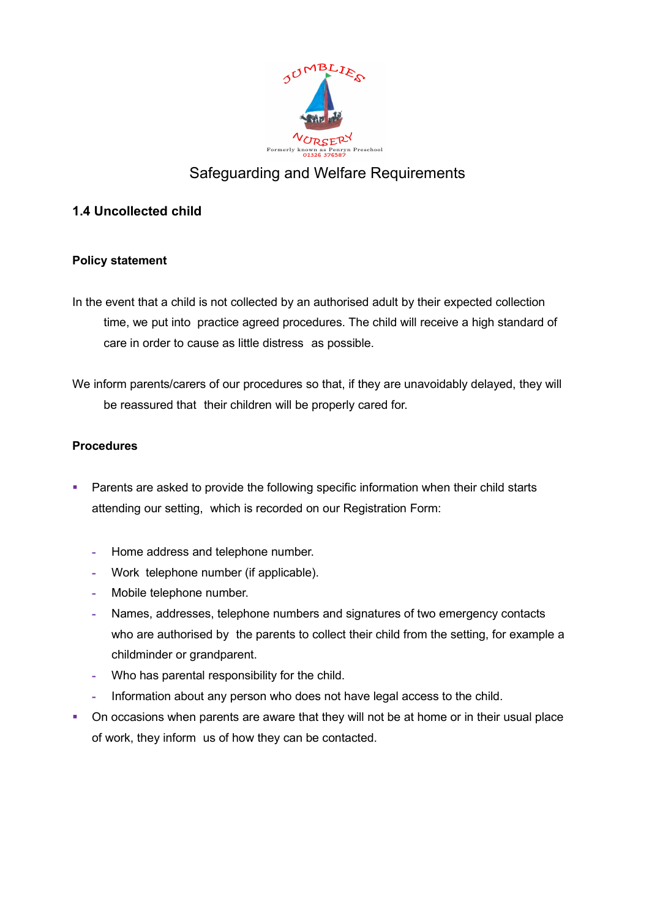

## Safeguarding and Welfare Requirements

## **1.4 Uncollected child**

## **Policy statement**

- In the event that a child is not collected by an authorised adult by their expected collection time, we put into practice agreed procedures. The child will receive a high standard of care in order to cause as little distress as possible.
- We inform parents/carers of our procedures so that, if they are unavoidably delayed, they will be reassured that their children will be properly cared for.

## **Procedures**

- Parents are asked to provide the following specific information when their child starts attending our setting, which is recorded on our Registration Form:
	- **-** Home address and telephone number.
	- **-** Work telephone number (if applicable).
	- **-** Mobile telephone number.
	- **-** Names, addresses, telephone numbers and signatures of two emergency contacts who are authorised by the parents to collect their child from the setting, for example a childminder or grandparent.
	- **-** Who has parental responsibility for the child.
	- **-** Information about any person who does not have legal access to the child.
- On occasions when parents are aware that they will not be at home or in their usual place of work, they inform us of how they can be contacted.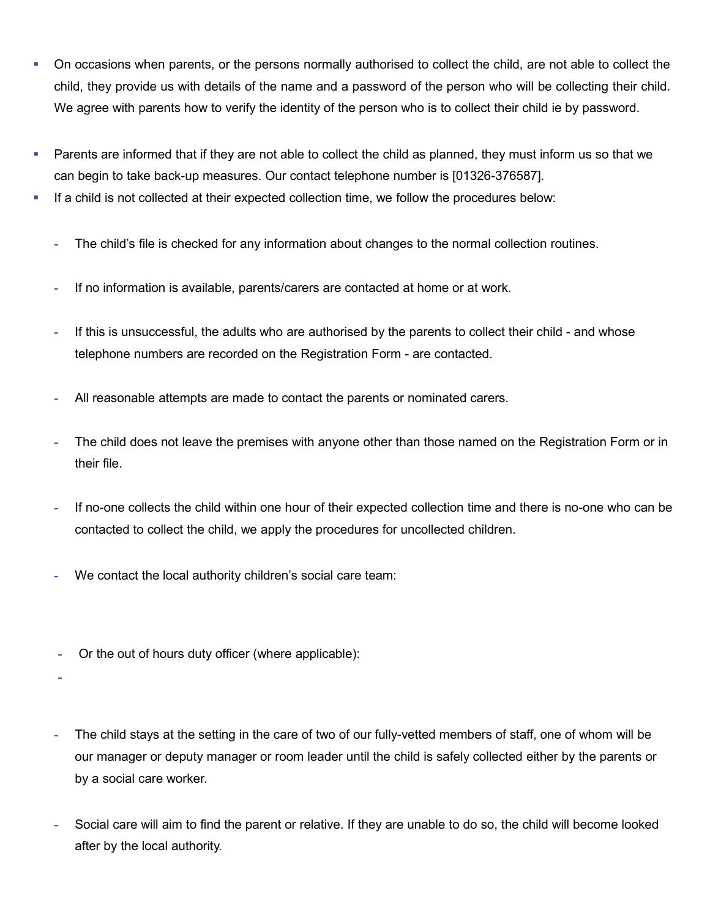- On occasions when parents, or the persons normally authorised to collect the child, are not able to collect the child, they provide us with details of the name and a password of the person who will be collecting their child. We agree with parents how to verify the identity of the person who is to collect their child ie by password.
- Parents are informed that if they are not able to collect the child as planned, they must inform us so that we can begin to take back-up measures. Our contact telephone number is [01326-376587].
- If a child is not collected at their expected collection time, we follow the procedures below:
	- **-** The child's file is checked for any information about changes to the normal collection routines.
	- **-** If no information is available, parents/carers are contacted at home or at work.
	- **-** If this is unsuccessful, the adults who are authorised by the parents to collect their child and whose telephone numbers are recorded on the Registration Form - are contacted.
	- **-** All reasonable attempts are made to contact the parents or nominated carers.
	- **-** The child does not leave the premises with anyone other than those named on the Registration Form or in their file.
	- **-** If no-one collects the child within one hour of their expected collection time and there is no-one who can be contacted to collect the child, we apply the procedures for uncollected children.
	- **-** We contact the local authority children's social care team:
	- **-** Or the out of hours duty officer (where applicable):
	- **-**
	- **-** The child stays at the setting in the care of two of our fully-vetted members of staff, one of whom will be our manager or deputy manager or room leader until the child is safely collected either by the parents or by a social care worker.
	- **-** Social care will aim to find the parent or relative. If they are unable to do so, the child will become looked after by the local authority.